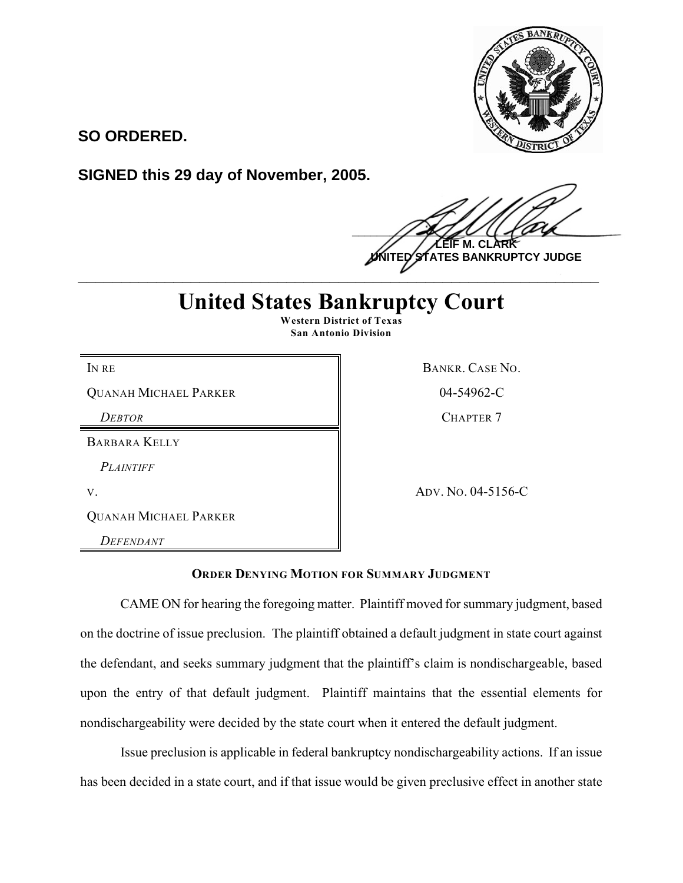

**SO ORDERED.**

**SIGNED this 29 day of November, 2005.**

 $\frac{1}{2}$ **M. UTES BANKRUPTCY JUDGE \_\_\_\_\_\_\_\_\_\_\_\_\_\_\_\_\_\_\_\_\_\_\_\_\_\_\_\_\_\_\_\_\_\_\_\_\_\_\_\_\_\_\_\_\_\_\_\_\_\_\_\_\_\_\_\_\_\_\_\_**

## **United States Bankruptcy Court Western District of Texas**

**San Antonio Division**

QUANAH MICHAEL PARKER 8 804-54962-C

BARBARA KELLY

*PLAINTIFF*

QUANAH MICHAEL PARKER

*DEFENDANT*

IN RE BANKR. CASE NO. *DEBTOR* CHAPTER 7

V. ADV. NO. 04-5156-C

**ORDER DENYING MOTION FOR SUMMARY JUDGMENT**

CAME ON for hearing the foregoing matter. Plaintiff moved for summary judgment, based on the doctrine of issue preclusion. The plaintiff obtained a default judgment in state court against the defendant, and seeks summary judgment that the plaintiff's claim is nondischargeable, based upon the entry of that default judgment. Plaintiff maintains that the essential elements for nondischargeability were decided by the state court when it entered the default judgment.

Issue preclusion is applicable in federal bankruptcy nondischargeability actions. If an issue has been decided in a state court, and if that issue would be given preclusive effect in another state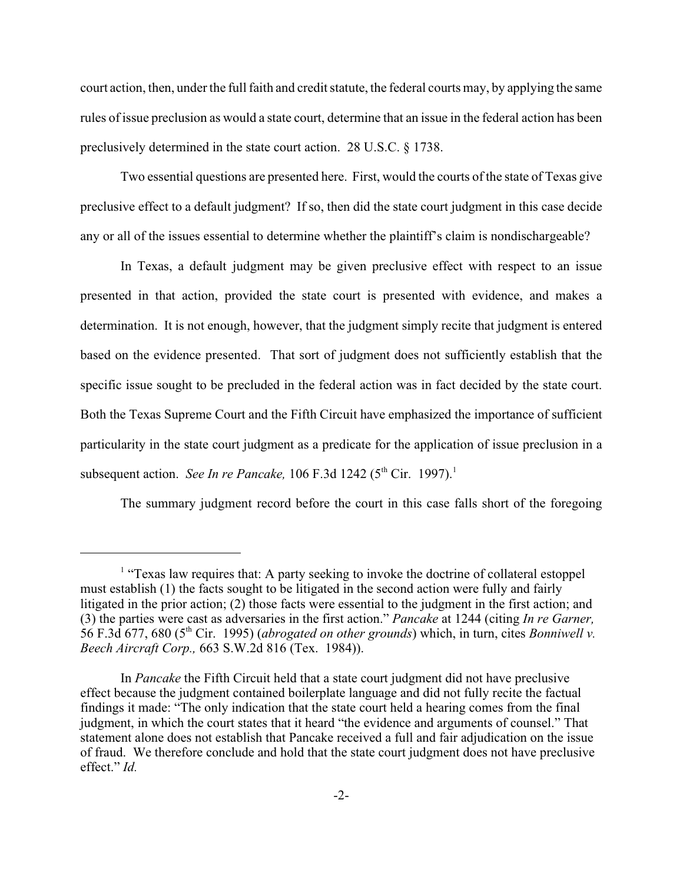court action, then, under the full faith and credit statute, the federal courts may, by applying the same rules of issue preclusion as would a state court, determine that an issue in the federal action has been preclusively determined in the state court action. 28 U.S.C. § 1738.

Two essential questions are presented here. First, would the courts of the state of Texas give preclusive effect to a default judgment? If so, then did the state court judgment in this case decide any or all of the issues essential to determine whether the plaintiff's claim is nondischargeable?

In Texas, a default judgment may be given preclusive effect with respect to an issue presented in that action, provided the state court is presented with evidence, and makes a determination. It is not enough, however, that the judgment simply recite that judgment is entered based on the evidence presented. That sort of judgment does not sufficiently establish that the specific issue sought to be precluded in the federal action was in fact decided by the state court. Both the Texas Supreme Court and the Fifth Circuit have emphasized the importance of sufficient particularity in the state court judgment as a predicate for the application of issue preclusion in a subsequent action. *See In re Pancake*,  $106$  F.3d  $1242$  ( $5<sup>th</sup>$  Cir. 1997).<sup>1</sup>

The summary judgment record before the court in this case falls short of the foregoing

 $<sup>1</sup>$  "Texas law requires that: A party seeking to invoke the doctrine of collateral estoppel</sup> must establish (1) the facts sought to be litigated in the second action were fully and fairly litigated in the prior action; (2) those facts were essential to the judgment in the first action; and (3) the parties were cast as adversaries in the first action." *Pancake* at 1244 (citing *In re Garner,* 56 F.3d 677, 680 (5<sup>th</sup> Cir. 1995) (*abrogated on other grounds*) which, in turn, cites *Bonniwell v. Beech Aircraft Corp.,* 663 S.W.2d 816 (Tex. 1984)).

In *Pancake* the Fifth Circuit held that a state court judgment did not have preclusive effect because the judgment contained boilerplate language and did not fully recite the factual findings it made: "The only indication that the state court held a hearing comes from the final judgment, in which the court states that it heard "the evidence and arguments of counsel." That statement alone does not establish that Pancake received a full and fair adjudication on the issue of fraud. We therefore conclude and hold that the state court judgment does not have preclusive effect." *Id.*